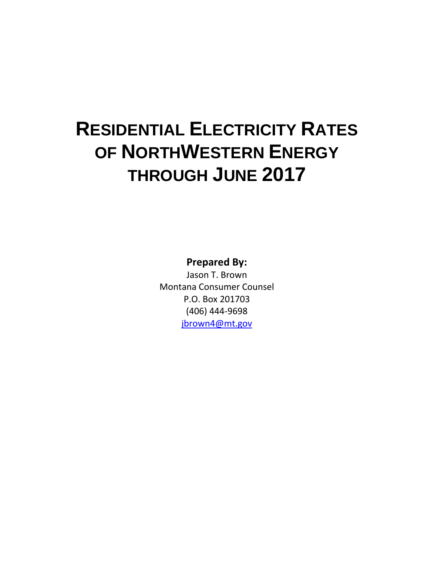## **RESIDENTIAL ELECTRICITY RATES OF NORTHWESTERN ENERGY THROUGH JUNE 2017**

**Prepared By:**

Jason T. Brown Montana Consumer Counsel P.O. Box 201703 (406) 444-9698 [jbrown4@mt.gov](mailto:jbrown4@mt.gov)